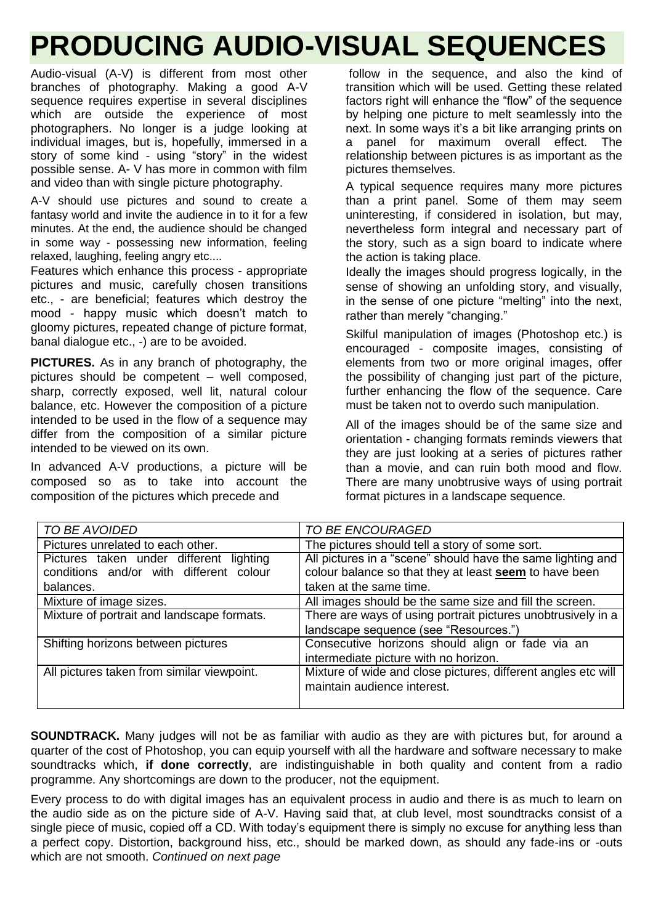## **PRODUCING AUDIO-VISUAL SEQUENCES**

Audio-visual (A-V) is different from most other branches of photography. Making a good A-V sequence requires expertise in several disciplines which are outside the experience of most photographers. No longer is a judge looking at individual images, but is, hopefully, immersed in a story of some kind - using "story" in the widest possible sense. A- V has more in common with film and video than with single picture photography.

A-V should use pictures and sound to create a fantasy world and invite the audience in to it for a few minutes. At the end, the audience should be changed in some way - possessing new information, feeling relaxed, laughing, feeling angry etc....

Features which enhance this process - appropriate pictures and music, carefully chosen transitions etc., - are beneficial; features which destroy the mood - happy music which doesn't match to gloomy pictures, repeated change of picture format, banal dialogue etc., -) are to be avoided.

**PICTURES.** As in any branch of photography, the pictures should be competent – well composed, sharp, correctly exposed, well lit, natural colour balance, etc. However the composition of a picture intended to be used in the flow of a sequence may differ from the composition of a similar picture intended to be viewed on its own.

In advanced A-V productions, a picture will be composed so as to take into account the composition of the pictures which precede and

follow in the sequence, and also the kind of transition which will be used. Getting these related factors right will enhance the "flow" of the sequence by helping one picture to melt seamlessly into the next. In some ways it's a bit like arranging prints on a panel for maximum overall effect. The relationship between pictures is as important as the pictures themselves.

A typical sequence requires many more pictures than a print panel. Some of them may seem uninteresting, if considered in isolation, but may, nevertheless form integral and necessary part of the story, such as a sign board to indicate where the action is taking place.

Ideally the images should progress logically, in the sense of showing an unfolding story, and visually, in the sense of one picture "melting" into the next, rather than merely "changing."

Skilful manipulation of images (Photoshop etc.) is encouraged - composite images, consisting of elements from two or more original images, offer the possibility of changing just part of the picture, further enhancing the flow of the sequence. Care must be taken not to overdo such manipulation.

All of the images should be of the same size and orientation - changing formats reminds viewers that they are just looking at a series of pictures rather than a movie, and can ruin both mood and flow. There are many unobtrusive ways of using portrait format pictures in a landscape sequence.

| TO BE AVOIDED                              | <b>TO BE ENCOURAGED</b>                                       |
|--------------------------------------------|---------------------------------------------------------------|
| Pictures unrelated to each other.          | The pictures should tell a story of some sort.                |
| Pictures taken under different<br>lighting | All pictures in a "scene" should have the same lighting and   |
| conditions and/or with different colour    | colour balance so that they at least seem to have been        |
| balances.                                  | taken at the same time.                                       |
| Mixture of image sizes.                    | All images should be the same size and fill the screen.       |
| Mixture of portrait and landscape formats. | There are ways of using portrait pictures unobtrusively in a  |
|                                            | landscape sequence (see "Resources.")                         |
| Shifting horizons between pictures         | Consecutive horizons should align or fade via an              |
|                                            | intermediate picture with no horizon.                         |
| All pictures taken from similar viewpoint. | Mixture of wide and close pictures, different angles etc will |
|                                            | maintain audience interest.                                   |
|                                            |                                                               |

**SOUNDTRACK.** Many judges will not be as familiar with audio as they are with pictures but, for around a quarter of the cost of Photoshop, you can equip yourself with all the hardware and software necessary to make soundtracks which, **if done correctly**, are indistinguishable in both quality and content from a radio programme. Any shortcomings are down to the producer, not the equipment.

Every process to do with digital images has an equivalent process in audio and there is as much to learn on the audio side as on the picture side of A-V. Having said that, at club level, most soundtracks consist of a single piece of music, copied off a CD. With today's equipment there is simply no excuse for anything less than a perfect copy. Distortion, background hiss, etc., should be marked down, as should any fade-ins or -outs which are not smooth. *Continued on next page*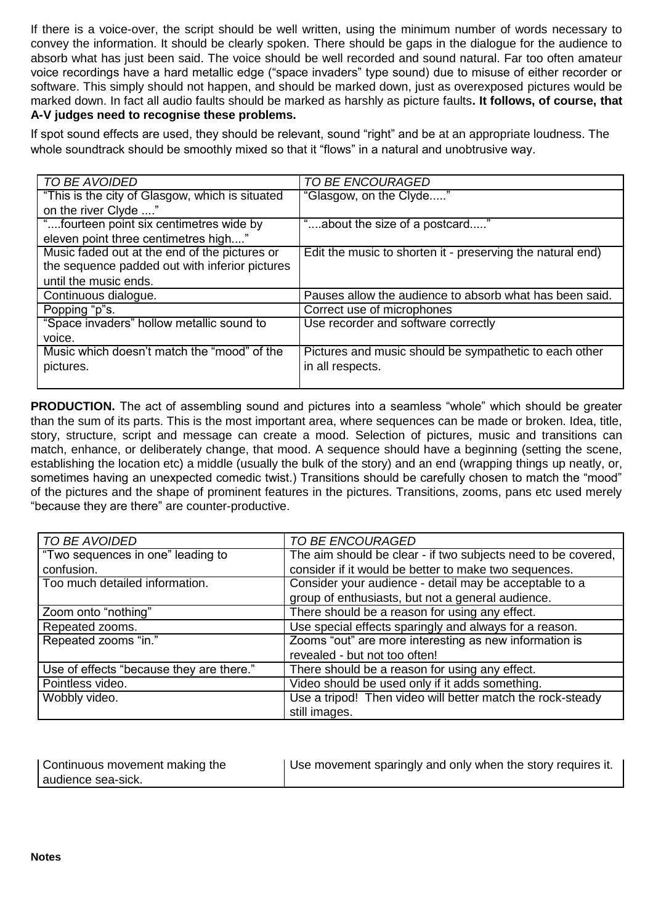If there is a voice-over, the script should be well written, using the minimum number of words necessary to convey the information. It should be clearly spoken. There should be gaps in the dialogue for the audience to absorb what has just been said. The voice should be well recorded and sound natural. Far too often amateur voice recordings have a hard metallic edge ("space invaders" type sound) due to misuse of either recorder or software. This simply should not happen, and should be marked down, just as overexposed pictures would be marked down. In fact all audio faults should be marked as harshly as picture faults**. It follows, of course, that A-V judges need to recognise these problems.** 

If spot sound effects are used, they should be relevant, sound "right" and be at an appropriate loudness. The whole soundtrack should be smoothly mixed so that it "flows" in a natural and unobtrusive way.

| TO BE AVOIDED                                   | TO BE ENCOURAGED                                           |
|-------------------------------------------------|------------------------------------------------------------|
| "This is the city of Glasgow, which is situated | "Glasgow, on the Clyde"                                    |
| on the river Clyde "                            |                                                            |
| "fourteen point six centimetres wide by         | "about the size of a postcard"                             |
| eleven point three centimetres high"            |                                                            |
| Music faded out at the end of the pictures or   | Edit the music to shorten it - preserving the natural end) |
| the sequence padded out with inferior pictures  |                                                            |
| until the music ends.                           |                                                            |
| Continuous dialogue.                            | Pauses allow the audience to absorb what has been said.    |
| Popping "p"s.                                   | Correct use of microphones                                 |
| "Space invaders" hollow metallic sound to       | Use recorder and software correctly                        |
| voice.                                          |                                                            |
| Music which doesn't match the "mood" of the     | Pictures and music should be sympathetic to each other     |
| pictures.                                       | in all respects.                                           |
|                                                 |                                                            |

**PRODUCTION.** The act of assembling sound and pictures into a seamless "whole" which should be greater than the sum of its parts. This is the most important area, where sequences can be made or broken. Idea, title, story, structure, script and message can create a mood. Selection of pictures, music and transitions can match, enhance, or deliberately change, that mood. A sequence should have a beginning (setting the scene, establishing the location etc) a middle (usually the bulk of the story) and an end (wrapping things up neatly, or, sometimes having an unexpected comedic twist.) Transitions should be carefully chosen to match the "mood" of the pictures and the shape of prominent features in the pictures. Transitions, zooms, pans etc used merely "because they are there" are counter-productive.

| TO BE AVOIDED                            | TO BE ENCOURAGED                                              |
|------------------------------------------|---------------------------------------------------------------|
| "Two sequences in one" leading to        | The aim should be clear - if two subjects need to be covered, |
| confusion.                               | consider if it would be better to make two sequences.         |
| Too much detailed information.           | Consider your audience - detail may be acceptable to a        |
|                                          | group of enthusiasts, but not a general audience.             |
| Zoom onto "nothing"                      | There should be a reason for using any effect.                |
| Repeated zooms.                          | Use special effects sparingly and always for a reason.        |
| Repeated zooms "in."                     | Zooms "out" are more interesting as new information is        |
|                                          | revealed - but not too often!                                 |
| Use of effects "because they are there." | There should be a reason for using any effect.                |
| Pointless video.                         | Video should be used only if it adds something.               |
| Wobbly video.                            | Use a tripod! Then video will better match the rock-steady    |
|                                          | still images.                                                 |

| Continuous movement making the | Use movement sparingly and only when the story requires it. |
|--------------------------------|-------------------------------------------------------------|
| audience sea-sick.             |                                                             |